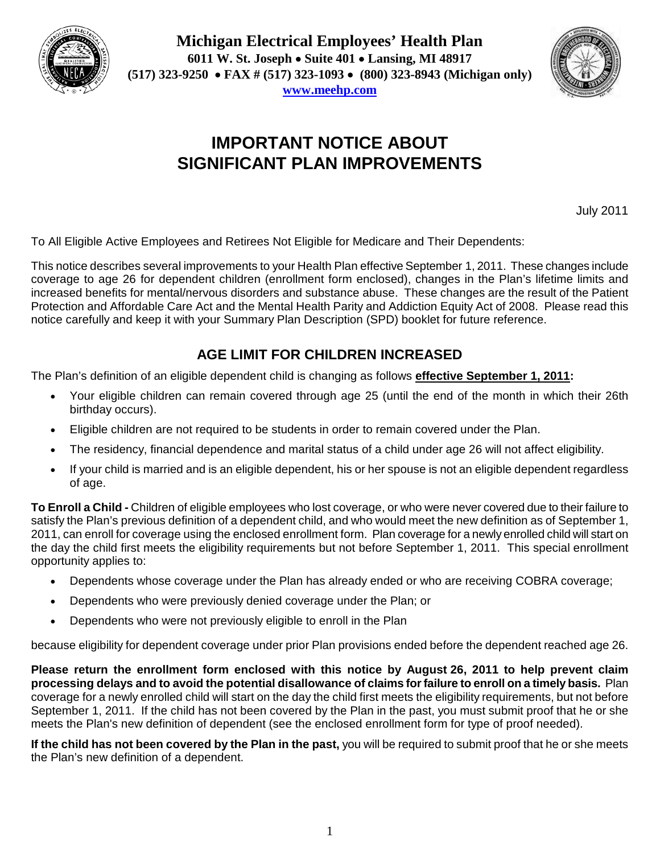

**Michigan Electrical Employees' Health Plan 6011 W. St. Joseph Suite 401 Lansing, MI 48917 (517) 323-9250 FAX # (517) 323-1093 (800) 323-8943 (Michigan only) www.meehp.com**



# **IMPORTANT NOTICE ABOUT SIGNIFICANT PLAN IMPROVEMENTS**

July 2011

To All Eligible Active Employees and Retirees Not Eligible for Medicare and Their Dependents:

This notice describes several improvements to your Health Plan effective September 1, 2011. These changes include coverage to age 26 for dependent children (enrollment form enclosed), changes in the Plan's lifetime limits and increased benefits for mental/nervous disorders and substance abuse. These changes are the result of the Patient Protection and Affordable Care Act and the Mental Health Parity and Addiction Equity Act of 2008. Please read this notice carefully and keep it with your Summary Plan Description (SPD) booklet for future reference.

# **AGE LIMIT FOR CHILDREN INCREASED**

The Plan's definition of an eligible dependent child is changing as follows **effective September 1, 2011:**

- Your eligible children can remain covered through age 25 (until the end of the month in which their 26th birthday occurs).
- Eligible children are not required to be students in order to remain covered under the Plan.
- The residency, financial dependence and marital status of a child under age 26 will not affect eligibility.
- If your child is married and is an eligible dependent, his or her spouse is not an eligible dependent regardless of age.

**To Enroll a Child -** Children of eligible employees who lost coverage, or who were never covered due to their failure to satisfy the Plan's previous definition of a dependent child, and who would meet the new definition as of September 1, 2011, can enroll for coverage using the enclosed enrollment form. Plan coverage for a newly enrolled child will start on the day the child first meets the eligibility requirements but not before September 1, 2011. This special enrollment opportunity applies to:

- Dependents whose coverage under the Plan has already ended or who are receiving COBRA coverage;
- Dependents who were previously denied coverage under the Plan; or
- Dependents who were not previously eligible to enroll in the Plan

because eligibility for dependent coverage under prior Plan provisions ended before the dependent reached age 26.

**Please return the enrollment form enclosed with this notice by August 26, 2011 to help prevent claim processing delays and to avoid the potential disallowance of claims for failure to enroll on a timely basis.** Plan coverage for a newly enrolled child will start on the day the child first meets the eligibility requirements, but not before September 1, 2011. If the child has not been covered by the Plan in the past, you must submit proof that he or she meets the Plan's new definition of dependent (see the enclosed enrollment form for type of proof needed).

**If the child has not been covered by the Plan in the past,** you will be required to submit proof that he or she meets the Plan's new definition of a dependent.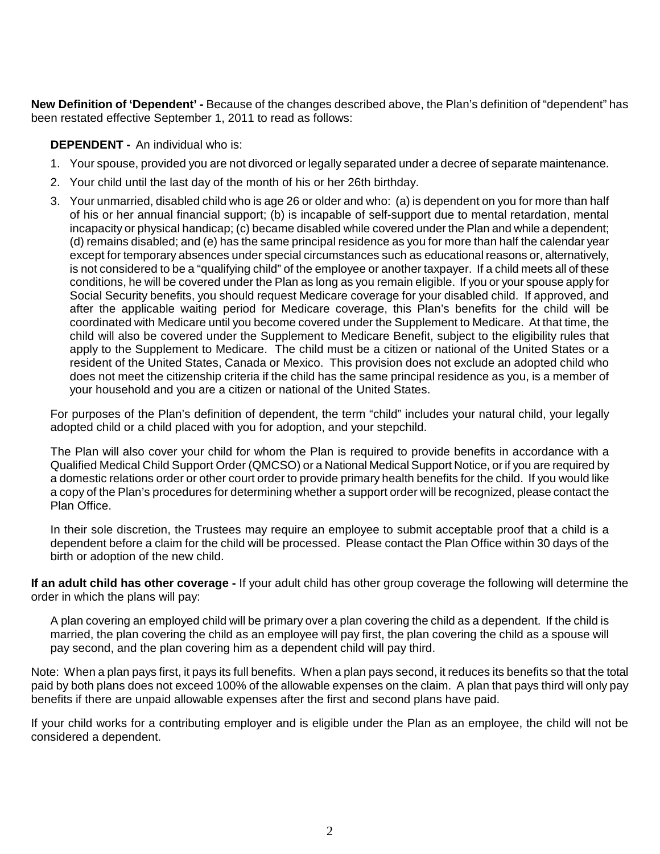**New Definition of 'Dependent' -** Because of the changes described above, the Plan's definition of "dependent" has been restated effective September 1, 2011 to read as follows:

## **DEPENDENT** - An individual who is:

- 1. Your spouse, provided you are not divorced or legally separated under a decree of separate maintenance.
- 2. Your child until the last day of the month of his or her 26th birthday.
- 3. Your unmarried, disabled child who is age 26 or older and who: (a) is dependent on you for more than half of his or her annual financial support; (b) is incapable of self-support due to mental retardation, mental incapacity or physical handicap; (c) became disabled while covered under the Plan and while a dependent; (d) remains disabled; and (e) has the same principal residence as you for more than half the calendar year except for temporary absences under special circumstances such as educational reasons or, alternatively, is not considered to be a "qualifying child" of the employee or another taxpayer. If a child meets all of these conditions, he will be covered under the Plan as long as you remain eligible. If you or your spouse apply for Social Security benefits, you should request Medicare coverage for your disabled child. If approved, and after the applicable waiting period for Medicare coverage, this Plan's benefits for the child will be coordinated with Medicare until you become covered under the Supplement to Medicare. At that time, the child will also be covered under the Supplement to Medicare Benefit, subject to the eligibility rules that apply to the Supplement to Medicare. The child must be a citizen or national of the United States or a resident of the United States, Canada or Mexico. This provision does not exclude an adopted child who does not meet the citizenship criteria if the child has the same principal residence as you, is a member of your household and you are a citizen or national of the United States.

For purposes of the Plan's definition of dependent, the term "child" includes your natural child, your legally adopted child or a child placed with you for adoption, and your stepchild.

The Plan will also cover your child for whom the Plan is required to provide benefits in accordance with a Qualified Medical Child Support Order (QMCSO) or a National Medical Support Notice, or if you are required by a domestic relations order or other court order to provide primary health benefits for the child. If you would like a copy of the Plan's procedures for determining whether a support order will be recognized, please contact the Plan Office.

In their sole discretion, the Trustees may require an employee to submit acceptable proof that a child is a dependent before a claim for the child will be processed. Please contact the Plan Office within 30 days of the birth or adoption of the new child.

**If an adult child has other coverage -** If your adult child has other group coverage the following will determine the order in which the plans will pay:

A plan covering an employed child will be primary over a plan covering the child as a dependent. If the child is married, the plan covering the child as an employee will pay first, the plan covering the child as a spouse will pay second, and the plan covering him as a dependent child will pay third.

Note: When a plan pays first, it pays its full benefits. When a plan pays second, it reduces its benefits so that the total paid by both plans does not exceed 100% of the allowable expenses on the claim. A plan that pays third will only pay benefits if there are unpaid allowable expenses after the first and second plans have paid.

If your child works for a contributing employer and is eligible under the Plan as an employee, the child will not be considered a dependent.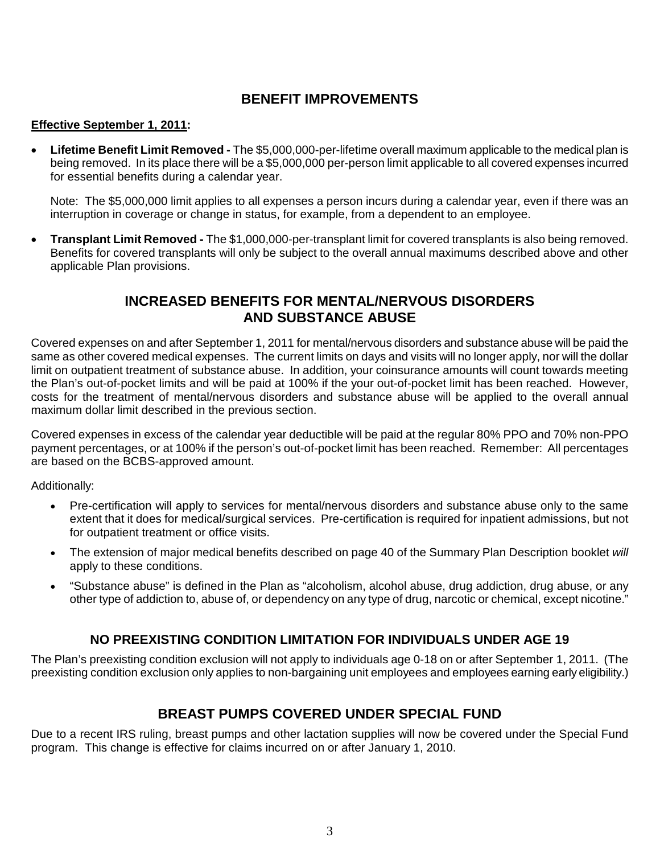## **BENEFIT IMPROVEMENTS**

## **Effective September 1, 2011:**

 **Lifetime Benefit Limit Removed -** The \$5,000,000-per-lifetime overall maximum applicable to the medical plan is being removed. In its place there will be a \$5,000,000 per-person limit applicable to all covered expenses incurred for essential benefits during a calendar year.

Note: The \$5,000,000 limit applies to all expenses a person incurs during a calendar year, even if there was an interruption in coverage or change in status, for example, from a dependent to an employee.

 **Transplant Limit Removed -** The \$1,000,000-per-transplant limit for covered transplants is also being removed. Benefits for covered transplants will only be subject to the overall annual maximums described above and other applicable Plan provisions.

## **INCREASED BENEFITS FOR MENTAL/NERVOUS DISORDERS AND SUBSTANCE ABUSE**

Covered expenses on and after September 1, 2011 for mental/nervous disorders and substance abuse will be paid the same as other covered medical expenses. The current limits on days and visits will no longer apply, nor will the dollar limit on outpatient treatment of substance abuse. In addition, your coinsurance amounts will count towards meeting the Plan's out-of-pocket limits and will be paid at 100% if the your out-of-pocket limit has been reached. However, costs for the treatment of mental/nervous disorders and substance abuse will be applied to the overall annual maximum dollar limit described in the previous section.

Covered expenses in excess of the calendar year deductible will be paid at the regular 80% PPO and 70% non-PPO payment percentages, or at 100% if the person's out-of-pocket limit has been reached. Remember: All percentages are based on the BCBS-approved amount.

Additionally:

- Pre-certification will apply to services for mental/nervous disorders and substance abuse only to the same extent that it does for medical/surgical services. Pre-certification is required for inpatient admissions, but not for outpatient treatment or office visits.
- The extension of major medical benefits described on page 40 of the Summary Plan Description booklet *will* apply to these conditions.
- "Substance abuse" is defined in the Plan as "alcoholism, alcohol abuse, drug addiction, drug abuse, or any other type of addiction to, abuse of, or dependency on any type of drug, narcotic or chemical, except nicotine."

## **NO PREEXISTING CONDITION LIMITATION FOR INDIVIDUALS UNDER AGE 19**

The Plan's preexisting condition exclusion will not apply to individuals age 0-18 on or after September 1, 2011. (The preexisting condition exclusion only applies to non-bargaining unit employees and employees earning early eligibility.)

## **BREAST PUMPS COVERED UNDER SPECIAL FUND**

Due to a recent IRS ruling, breast pumps and other lactation supplies will now be covered under the Special Fund program. This change is effective for claims incurred on or after January 1, 2010.